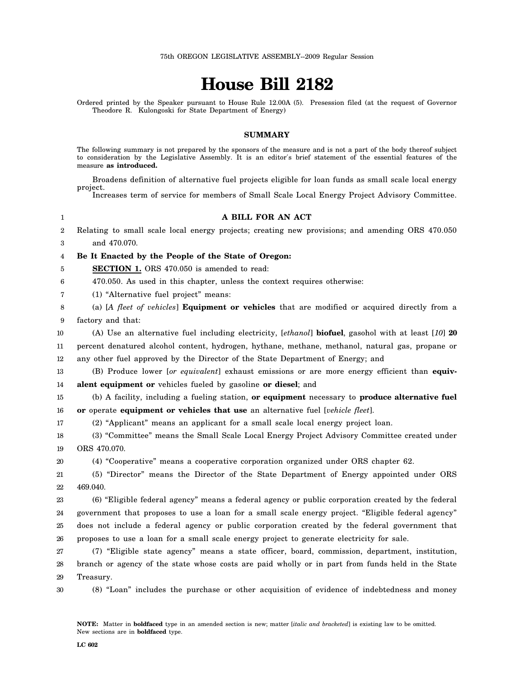## **House Bill 2182**

Ordered printed by the Speaker pursuant to House Rule 12.00A (5). Presession filed (at the request of Governor Theodore R. Kulongoski for State Department of Energy)

## **SUMMARY**

The following summary is not prepared by the sponsors of the measure and is not a part of the body thereof subject to consideration by the Legislative Assembly. It is an editor′s brief statement of the essential features of the measure **as introduced.**

Broadens definition of alternative fuel projects eligible for loan funds as small scale local energy project.

|                         | Increases term of service for members of Small Scale Local Energy Project Advisory Committee.               |
|-------------------------|-------------------------------------------------------------------------------------------------------------|
| $\mathbf{1}$            | A BILL FOR AN ACT                                                                                           |
| $\overline{2}$          | Relating to small scale local energy projects; creating new provisions; and amending ORS 470.050            |
| 3                       | and 470.070.                                                                                                |
| $\overline{\mathbf{4}}$ | Be It Enacted by the People of the State of Oregon:                                                         |
| 5                       | SECTION 1. ORS 470.050 is amended to read:                                                                  |
| 6                       | 470.050. As used in this chapter, unless the context requires otherwise:                                    |
| 7                       | (1) "Alternative fuel project" means:                                                                       |
| 8                       | (a) [A fleet of vehicles] <b>Equipment or vehicles</b> that are modified or acquired directly from a        |
| 9                       | factory and that:                                                                                           |
| 10                      | (A) Use an alternative fuel including electricity, [ethanol] <b>biofuel</b> , gasohol with at least [10] 20 |
| $11\,$                  | percent denatured alcohol content, hydrogen, hythane, methane, methanol, natural gas, propane or            |
| 12                      | any other fuel approved by the Director of the State Department of Energy; and                              |
| 13                      | (B) Produce lower [or equivalent] exhaust emissions or are more energy efficient than equiv-                |
| 14                      | alent equipment or vehicles fueled by gasoline or diesel; and                                               |
| 15                      | (b) A facility, including a fueling station, or equipment necessary to produce alternative fuel             |
| 16                      | or operate equipment or vehicles that use an alternative fuel [vehicle fleet].                              |
| 17                      | (2) "Applicant" means an applicant for a small scale local energy project loan.                             |
| 18                      | (3) "Committee" means the Small Scale Local Energy Project Advisory Committee created under                 |
| 19                      | ORS 470.070.                                                                                                |
| 20                      | (4) "Cooperative" means a cooperative corporation organized under ORS chapter 62.                           |
| 21                      | (5) "Director" means the Director of the State Department of Energy appointed under ORS                     |
| 22                      | 469.040.                                                                                                    |
| 23                      | (6) "Eligible federal agency" means a federal agency or public corporation created by the federal           |
| 24                      | government that proposes to use a loan for a small scale energy project. "Eligible federal agency"          |
| 25                      | does not include a federal agency or public corporation created by the federal government that              |
| 26                      | proposes to use a loan for a small scale energy project to generate electricity for sale.                   |
| $27\,$                  | (7) "Eligible state agency" means a state officer, board, commission, department, institution,              |
| 28                      | branch or agency of the state whose costs are paid wholly or in part from funds held in the State           |
| 29                      | Treasury.                                                                                                   |
| 30                      | (8) "Loan" includes the purchase or other acquisition of evidence of indebtedness and money                 |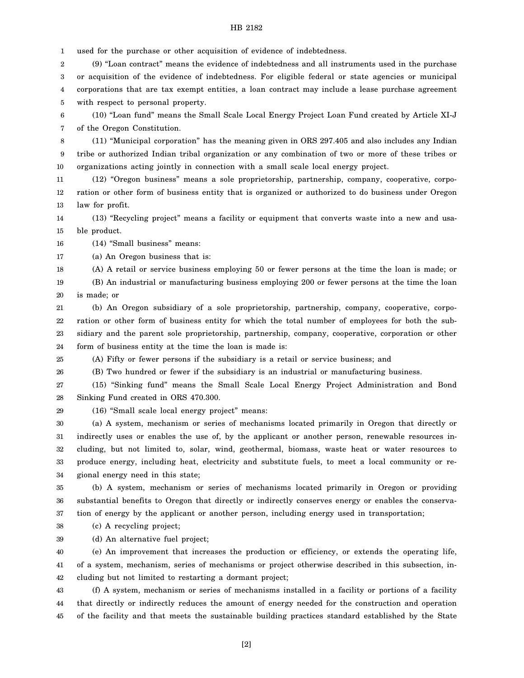## HB 2182

1 used for the purchase or other acquisition of evidence of indebtedness.

2 3 4 5 (9) "Loan contract" means the evidence of indebtedness and all instruments used in the purchase or acquisition of the evidence of indebtedness. For eligible federal or state agencies or municipal corporations that are tax exempt entities, a loan contract may include a lease purchase agreement with respect to personal property.

6 7 (10) "Loan fund" means the Small Scale Local Energy Project Loan Fund created by Article XI-J of the Oregon Constitution.

8 9 10 (11) "Municipal corporation" has the meaning given in ORS 297.405 and also includes any Indian tribe or authorized Indian tribal organization or any combination of two or more of these tribes or organizations acting jointly in connection with a small scale local energy project.

11 12 13 (12) "Oregon business" means a sole proprietorship, partnership, company, cooperative, corporation or other form of business entity that is organized or authorized to do business under Oregon law for profit.

14 15 (13) "Recycling project" means a facility or equipment that converts waste into a new and usable product.

16 (14) "Small business" means:

17 (a) An Oregon business that is:

18 (A) A retail or service business employing 50 or fewer persons at the time the loan is made; or

19 20 (B) An industrial or manufacturing business employing 200 or fewer persons at the time the loan is made; or

21 22 23 24 (b) An Oregon subsidiary of a sole proprietorship, partnership, company, cooperative, corporation or other form of business entity for which the total number of employees for both the subsidiary and the parent sole proprietorship, partnership, company, cooperative, corporation or other form of business entity at the time the loan is made is:

25 (A) Fifty or fewer persons if the subsidiary is a retail or service business; and

26 (B) Two hundred or fewer if the subsidiary is an industrial or manufacturing business.

27 28 (15) "Sinking fund" means the Small Scale Local Energy Project Administration and Bond Sinking Fund created in ORS 470.300.

29 (16) "Small scale local energy project" means:

30 31 32 33 (a) A system, mechanism or series of mechanisms located primarily in Oregon that directly or indirectly uses or enables the use of, by the applicant or another person, renewable resources including, but not limited to, solar, wind, geothermal, biomass, waste heat or water resources to produce energy, including heat, electricity and substitute fuels, to meet a local community or re-

34 gional energy need in this state;

35 36 37 (b) A system, mechanism or series of mechanisms located primarily in Oregon or providing substantial benefits to Oregon that directly or indirectly conserves energy or enables the conservation of energy by the applicant or another person, including energy used in transportation;

38 (c) A recycling project;

39 (d) An alternative fuel project;

40 41 42 (e) An improvement that increases the production or efficiency, or extends the operating life, of a system, mechanism, series of mechanisms or project otherwise described in this subsection, including but not limited to restarting a dormant project;

43 44 45 (f) A system, mechanism or series of mechanisms installed in a facility or portions of a facility that directly or indirectly reduces the amount of energy needed for the construction and operation of the facility and that meets the sustainable building practices standard established by the State